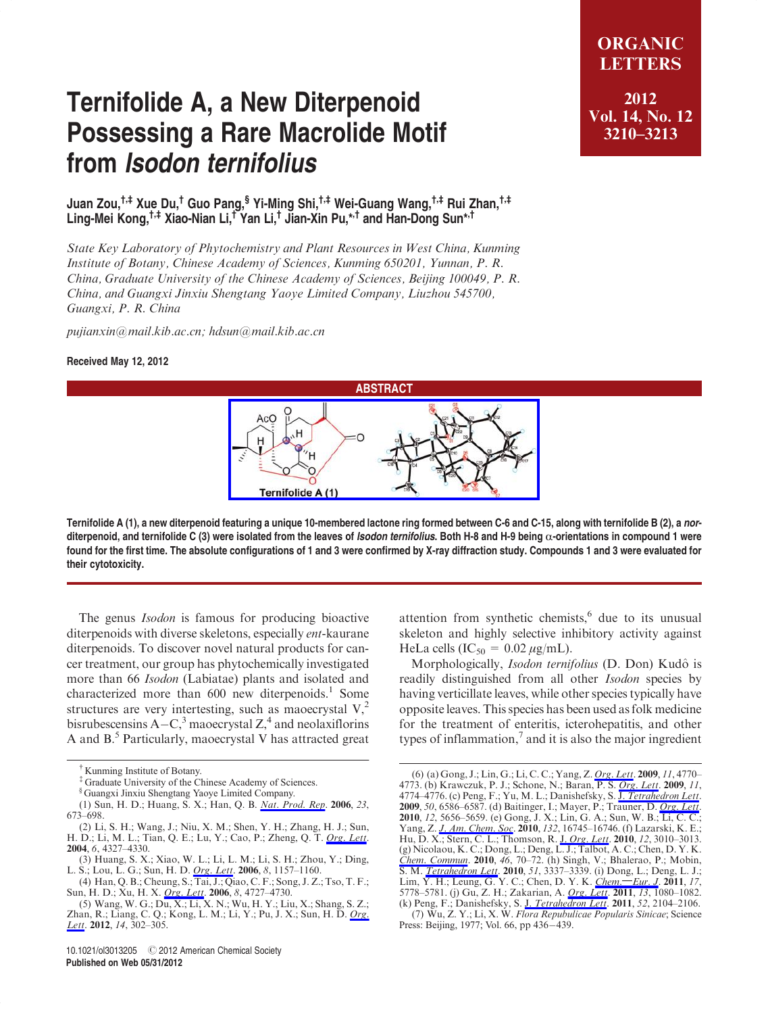## Ternifolide A, a New Diterpenoid Possessing a Rare Macrolide Motif from Isodon ternifolius

Juan Zou,†,‡ Xue Du,† Guo Pang,§ Yi-Ming Shi,†,‡ Wei-Guang Wang,†,‡ Rui Zhan,†,‡ Ling-Mei Kong,†,‡ Xiao-Nian Li,† Yan Li,† Jian-Xin Pu,\*,† and Han-Dong Sun\*,†

State Key Laboratory of Phytochemistry and Plant Resources in West China, Kunming Institute of Botany, Chinese Academy of Sciences, Kunming 650201, Yunnan, P. R. China, Graduate University of the Chinese Academy of Sciences, Beijing 100049, P. R. China, and Guangxi Jinxiu Shengtang Yaoye Limited Company, Liuzhou 545700, Guangxi, P. R. China

pujianxin@mail.kib.ac.cn; hdsun@mail.kib.ac.cn

## Received May 12, 2012



Ternifolide A (1), a new diterpenoid featuring a unique 10-membered lactone ring formed between C-6 and C-15, along with ternifolide B (2), a norditerpenoid, and ternifolide C (3) were isolated from the leaves of *Isodon ternifolius*. Both H-8 and H-9 being  $\alpha$ -orientations in compound 1 were found for the first time. The absolute configurations of 1 and 3 were confirmed by X-ray diffraction study. Compounds 1 and 3 were evaluated for their cytotoxicity.

The genus *Isodon* is famous for producing bioactive diterpenoids with diverse skeletons, especially ent-kaurane diterpenoids. To discover novel natural products for cancer treatment, our group has phytochemically investigated more than 66 Isodon (Labiatae) plants and isolated and characterized more than  $600$  new diterpenoids.<sup>1</sup> Some structures are very intertesting, such as maoecrystal  $V<sub>1</sub><sup>2</sup>$ bisrubescensins  $A-C<sup>3</sup>$  maoecrystal  $Z<sup>4</sup>$  and neolaxiflorins A and  $B$ <sup>5</sup> Particularly, maoecrystal V has attracted great

‡ Graduate University of the Chinese Academy of Sciences.

attention from synthetic chemists, $6$  due to its unusual skeleton and highly selective inhibitory activity against HeLa cells  $(IC_{50} = 0.02 \mu g/mL)$ .

Morphologically, Isodon ternifolius (D. Don) Kudô is readily distinguished from all other Isodon species by having verticillate leaves, while other species typically have opposite leaves. This species has been used as folk medicine for the treatment of enteritis, icterohepatitis, and other types of inflammation, $\frac{7}{1}$  and it is also the major ingredient

ORGANIC **LETTERS** 2012 Vol. 14, No. 12 3210–3213

<sup>†</sup> Kunming Institute of Botany.

<sup>§</sup> Guangxi Jinxiu Shengtang Yaoye Limited Company.

<sup>(1)</sup> Sun, H. D.; Huang, S. X.; Han, Q. B. Nat. Prod. Rep. 2006, 23, 673–698.

<sup>(2)</sup> Li, S. H.; Wang, J.; Niu, X. M.; Shen, Y. H.; Zhang, H. J.; Sun, H. D.; Li, M. L.; Tian, Q. E.; Lu, Y.; Cao, P.; Zheng, Q. T. Org. Lett. 2004, 6, 4327–4330.

<sup>(3)</sup> Huang, S. X.; Xiao, W. L.; Li, L. M.; Li, S. H.; Zhou, Y.; Ding, L. S.; Lou, L. G.; Sun, H. D. Org. Lett. 2006, 8, 1157–1160.

<sup>(4)</sup> Han, Q. B.; Cheung, S.; Tai, J.; Qiao, C. F.; Song, J. Z.; Tso, T. F.; Sun, H. D.; Xu, H. X. *Org. Lett.* 2006, 8, 4727–4730.

<sup>(5)</sup> Wang, W. G.; Du, X.; Li, X. N.; Wu, H. Y.; Liu, X.; Shang, S. Z.; Zhan, R.; Liang, C. Q.; Kong, L. M.; Li, Y.; Pu, J. X.; Sun, H. D. Org. Lett. 2012, 14, 302–305.

<sup>(6) (</sup>a) Gong, J.; Lin, G.; Li, C. C.; Yang, Z. Org. Lett. 2009, 11, 4770– 4773. (b) Krawczuk, P. J.; Schone, N.; Baran, P. S. Org. Lett. 2009, 11, 4774–4776. (c) Peng, F.; Yu, M. L.; Danishefsky, S. J. Tetrahedron Lett. 2009, 50, 6586–6587. (d) Baitinger, I.; Mayer, P.; Trauner, D. *Org. Lett*. 2010, 12, 5656–5659. (e) Gong, J. X.; Lin, G. A.; Sun, W. B.; Li, C. C.; Yang, Z. J. Am. Chem. Soc. 2010, 132, 16745–16746. (f) Lazarski, K. E.; Hu, D. X.; Stern, C. L.; Thomson, R. J. Org. Lett. 2010, 12, 3010–3013.  $(g)$  Nicolaou, K. C.; Dong, L.; Deng, L. J.; Talbot, A. C.; Chen, D. Y. K. Chem. Commun. 2010, 46, 70-72. (h) Singh, V.; Bhalerao, P.; Mobin, S. M. <u>Tetrahedron Lett</u>. **2010**, 51, 3337–3339. (i) Dong, L.; Deng, L. J.;<br>Lim, Y. H.; Leung, G. Y. C.; Chen, D. Y. K. <u>Chem.—Eur. J</u>. **2011**, 17, 5778–5781. (j) Gu, Z. H.; Zakarian, A. *Org. Lett.* 2011, 13, 1080–1082. (k) Peng, F.; Danishefsky, S. J. Tetrahedron Lett. 2011, 52, 2104–2106.

<sup>(7)</sup> Wu, Z. Y.; Li, X. W. Flora Repubulicae Popularis Sinicae; Science Press: Beijing, 1977; Vol. 66, pp 436-439.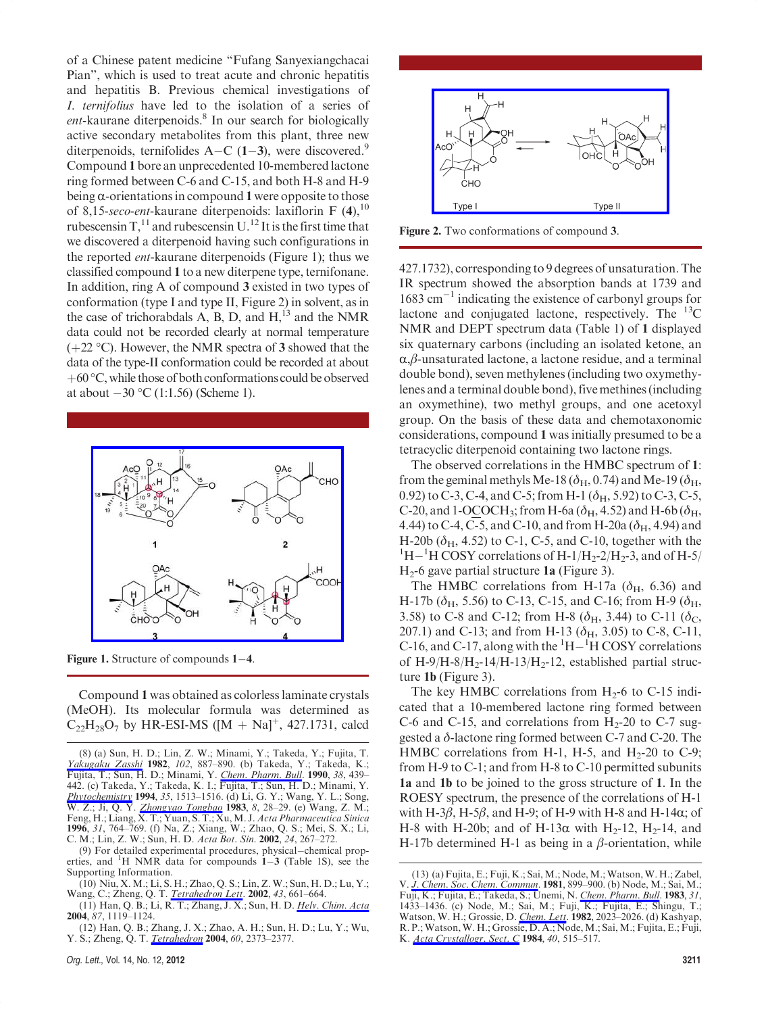of a Chinese patent medicine "Fufang Sanyexiangchacai Pian", which is used to treat acute and chronic hepatitis and hepatitis B. Previous chemical investigations of I. ternifolius have led to the isolation of a series of ent-kaurane diterpenoids.<sup>8</sup> In our search for biologically active secondary metabolites from this plant, three new diterpenoids, ternifolides A–C (1–3), were discovered.<sup>9</sup> Compound 1 bore an unprecedented 10-membered lactone ring formed between C-6 and C-15, and both H-8 and H-9 being  $\alpha$ -orientations in compound 1 were opposite to those of 8,15-seco-ent-kaurane diterpenoids: laxiflorin F  $(4)$ ,  $^{10}$ rubescensin  $T<sup>11</sup>$  and rubescensin U.<sup>12</sup> It is the first time that we discovered a diterpenoid having such configurations in the reported *ent*-kaurane diterpenoids (Figure 1); thus we classified compound 1 to a new diterpene type, ternifonane. In addition, ring A of compound 3 existed in two types of conformation (type I and type II, Figure 2) in solvent, as in the case of trichorabdals A, B, D, and  $H<sub>13</sub>$  and the NMR data could not be recorded clearly at normal temperature  $(+22 \degree C)$ . However, the NMR spectra of 3 showed that the data of the type-II conformation could be recorded at about  $+60^{\circ}$ C, while those of both conformations could be observed at about  $-30$  °C (1:1.56) (Scheme 1).



Figure 1. Structure of compounds  $1-4$ .

Compound 1 was obtained as colorless laminate crystals (MeOH). Its molecular formula was determined as  $C_{22}H_{28}O_7$  by HR-ESI-MS ([M + Na]<sup>+</sup>, 427.1731, calcd

 $(9)$  For detailed experimental procedures, physical-chemical properties, and  ${}^{1}H$  NMR data for compounds  $1-3$  (Table 1S), see the Supporting Information.



Figure 2. Two conformations of compound 3.

427.1732), corresponding to 9 degrees of unsaturation. The IR spectrum showed the absorption bands at 1739 and  $1683 \text{ cm}^{-1}$  indicating the existence of carbonyl groups for lactone and conjugated lactone, respectively. The  ${}^{13}C$ NMR and DEPT spectrum data (Table 1) of 1 displayed six quaternary carbons (including an isolated ketone, an  $\alpha$ , $\beta$ -unsaturated lactone, a lactone residue, and a terminal double bond), seven methylenes (including two oxymethylenes and a terminal double bond), five methines (including an oxymethine), two methyl groups, and one acetoxyl group. On the basis of these data and chemotaxonomic considerations, compound 1 was initially presumed to be a tetracyclic diterpenoid containing two lactone rings.

The observed correlations in the HMBC spectrum of 1: from the geminal methyls Me-18 ( $\delta_{\rm H}$ , 0.74) and Me-19 ( $\delta_{\rm H}$ , 0.92) to C-3, C-4, and C-5; from H-1 ( $\delta_{\rm H}$ , 5.92) to C-3, C-5, C-20, and 1-OCOCH<sub>3</sub>; from H-6a ( $\delta_{\text{H}}$ , 4.52) and H-6b ( $\delta_{\text{H}}$ , 4.44) to C-4, C-5, and C-10, and from H-20a ( $\delta_{\rm H}$ , 4.94) and H-20b  $(\delta_{H}, 4.52)$  to C-1, C-5, and C-10, together with the <sup>1</sup>H $-$ <sup>1</sup>H COSY correlations of H-1/H<sub>2</sub>-2/H<sub>2</sub>-3, and of H-5/  $H<sub>2</sub>$ -6 gave partial structure 1a (Figure 3).

The HMBC correlations from H-17a ( $\delta_{\rm H}$ , 6.36) and H-17b ( $\delta_{\rm H}$ , 5.56) to C-13, C-15, and C-16; from H-9 ( $\delta_{\rm H}$ , 3.58) to C-8 and C-12; from H-8 ( $\delta_{\rm H}$ , 3.44) to C-11 ( $\delta_{\rm C}$ , 207.1) and C-13; and from H-13 ( $\delta$ <sub>H</sub>, 3.05) to C-8, C-11, C-16, and C-17, along with the  ${}^{1}H-{}^{1}H$  COSY correlations of H-9/H-8/H<sub>2</sub>-14/H-13/H<sub>2</sub>-12, established partial structure 1b (Figure 3).

The key HMBC correlations from  $H_2$ -6 to C-15 indicated that a 10-membered lactone ring formed between C-6 and C-15, and correlations from  $H_2$ -20 to C-7 suggested a δ-lactone ring formed between C-7 and C-20. The HMBC correlations from H-1, H-5, and H<sub>2</sub>-20 to C-9; from H-9 to C-1; and from H-8 to C-10 permitted subunits 1a and 1b to be joined to the gross structure of 1. In the ROESY spectrum, the presence of the correlations of H-1 with H-3 $\beta$ , H-5 $\beta$ , and H-9; of H-9 with H-8 and H-14 $\alpha$ ; of H-8 with H-20b; and of H-13 $\alpha$  with H<sub>2</sub>-12, H<sub>2</sub>-14, and H-17b determined H-1 as being in a  $\beta$ -orientation, while

<sup>(8) (</sup>a) Sun, H. D.; Lin, Z. W.; Minami, Y.; Takeda, Y.; Fujita, T. Yakugaku Zasshi 1982, 102, 887-890. (b) Takeda, Y.; Takeda, K.; Fujita, T.; Sun, H. D.; Minami, Y. *Chem. Pharm. Bull*. 1990, 38, 439– 442. (c) Takeda, Y.; Takeda, K. I.; Fujita, T.; Sun, H. D.; Minami, Y. Phytochemistry 1994, 35, 1513-1516. (d) Li, G. Y.; Wang, Y. L.; Song, W. Z.; Ji, Q. Y. Zhongyao Tongbao 1983, 8, 28–29. (e) Wang, Z. M.; Feng, H.; Liang, X. T.; Yuan, S. T.; Xu, M. J. Acta Pharmaceutica Sinica 1996, 31, 764–769. (f) Na, Z.; Xiang, W.; Zhao, Q. S.; Mei, S. X.; Li, C. M.; Lin, Z. W.; Sun, H. D. Acta Bot. Sin. 2002, 24, 267–272.

<sup>(10)</sup> Niu, X. M.; Li, S. H.; Zhao, Q. S.; Lin, Z. W.; Sun, H. D.; Lu, Y.; Wang, C.; Zheng, Q. T. *Tetrahedron Lett*. 2002, 43, 661-664.

<sup>(11)</sup> Han, Q. B.; Li, R. T.; Zhang, J. X.; Sun, H. D. *Helv. Chim. Acta* 2004, 87, 1119–1124.

<sup>(12)</sup> Han, Q. B.; Zhang, J. X.; Zhao, A. H.; Sun, H. D.; Lu, Y.; Wu, Y. S.; Zheng, Q. T. *Tetrahedron* 2004, 60, 2373–2377.

<sup>(13) (</sup>a) Fujita, E.; Fuji, K.; Sai, M.; Node,M.;Watson,W. H.; Zabel, V. J. Chem. Soc. Chem. Commun. 1981, 899–900. (b) Node, M.; Sai, M.; Fuji, K.; Fujita, E.; Takeda, S.; Unemi, N. *Chem. Pharm. Bull*. 1983, 31, 1433–1436. (c) Node, M.; Sai, M.; Fuji, K.; Fujita, E.; Shingu, T.; Watson, W. H.; Grossie, D. Chem. Lett. 1982, 2023–2026. (d) Kashyap, R. P.; Watson,W. H.; Grossie, D. A.; Node, M.; Sai, M.; Fujita, E.; Fuji, K. Acta Crystallogr. Sect. C 1984, 40, 515-517.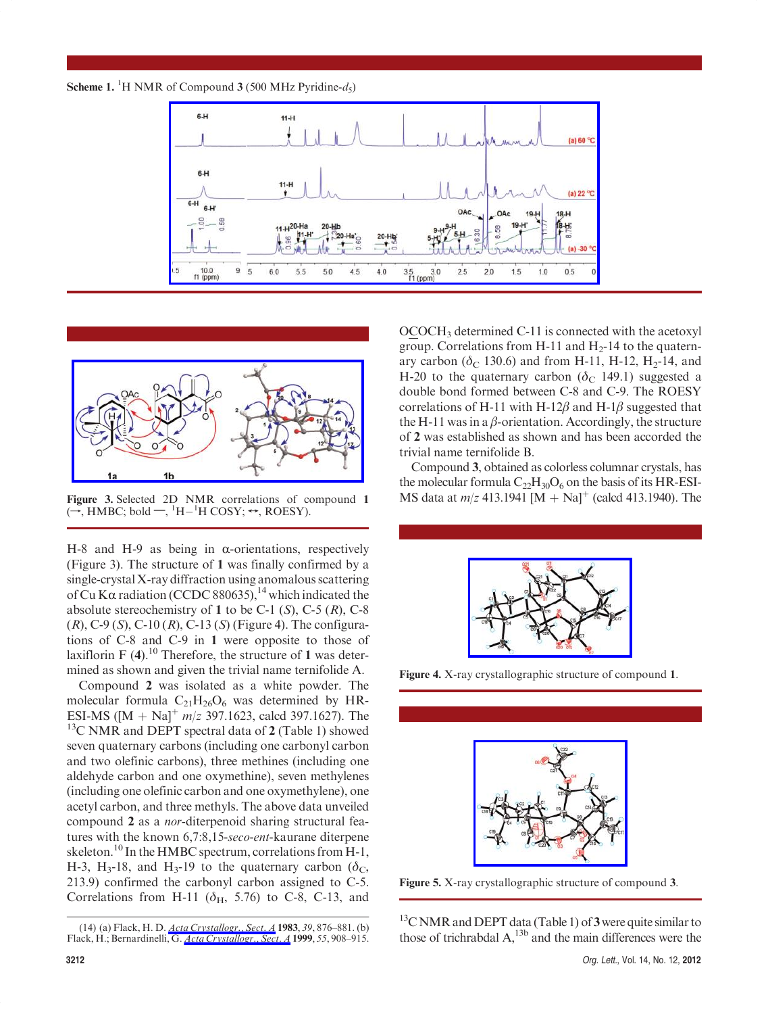





Figure 3. Selected 2D NMR correlations of compound 1  $(\rightarrow, \text{HMBC}; \text{bold} \rightarrow, {}^{1}\text{H} - {}^{1}\text{H} \text{COSY}; \leftrightarrow, \text{ROESY}).$ 

H-8 and H-9 as being in  $\alpha$ -orientations, respectively (Figure 3). The structure of 1 was finally confirmed by a single-crystal X-ray diffraction using anomalous scattering of Cu K $\alpha$  radiation (CCDC 880635),<sup>14</sup> which indicated the absolute stereochemistry of 1 to be C-1  $(S)$ , C-5  $(R)$ , C-8  $(R)$ , C-9  $(S)$ , C-10  $(R)$ , C-13  $(S)$  (Figure 4). The configurations of C-8 and C-9 in 1 were opposite to those of laxiflorin F  $(4)$ .<sup>10</sup> Therefore, the structure of 1 was determined as shown and given the trivial name ternifolide A.

Compound 2 was isolated as a white powder. The molecular formula  $C_{21}H_{26}O_6$  was determined by HR-ESI-MS ( $[M + Na]^+ m/z$  397.1623, calcd 397.1627). The  $13C$  NMR and DEPT spectral data of 2 (Table 1) showed seven quaternary carbons (including one carbonyl carbon and two olefinic carbons), three methines (including one aldehyde carbon and one oxymethine), seven methylenes (including one olefinic carbon and one oxymethylene), one acetyl carbon, and three methyls. The above data unveiled compound 2 as a nor-diterpenoid sharing structural features with the known 6,7:8,15-seco-ent-kaurane diterpene skeleton.<sup>10</sup> In the HMBC spectrum, correlations from H-1, H-3, H<sub>3</sub>-18, and H<sub>3</sub>-19 to the quaternary carbon ( $\delta_c$ ), 213.9) confirmed the carbonyl carbon assigned to C-5. Correlations from H-11 ( $\delta$ <sub>H</sub>, 5.76) to C-8, C-13, and

OCOCH3 determined C-11 is connected with the acetoxyl group. Correlations from H-11 and  $H_2$ -14 to the quaternary carbon ( $\delta$ <sub>C</sub> 130.6) and from H-11, H-12, H<sub>2</sub>-14, and H-20 to the quaternary carbon ( $\delta$ <sub>C</sub> 149.1) suggested a double bond formed between C-8 and C-9. The ROESY correlations of H-11 with H-12 $\beta$  and H-1 $\beta$  suggested that the H-11 was in a  $\beta$ -orientation. Accordingly, the structure of 2 was established as shown and has been accorded the trivial name ternifolide B.

Compound 3, obtained as colorless columnar crystals, has the molecular formula  $C_{22}H_{30}O_6$  on the basis of its HR-ESI-MS data at  $m/z$  413.1941  $[M + Na]$ <sup>+</sup> (calcd 413.1940). The



Figure 4. X-ray crystallographic structure of compound 1.



Figure 5. X-ray crystallographic structure of compound 3.

 $13$ C NMR and DEPT data (Table 1) of 3 were quite similar to those of trichrabdal  $A$ ,<sup>13b</sup> and the main differences were the

<sup>(14) (</sup>a) Flack, H. D. *Acta Crystallogr.*, *Sect. A* **1983**, 39, 876–881. (b) Flack, H.; Bernardinelli, G. *Acta Crystallogr.*, Sect. A 1999, 55, 908–915.